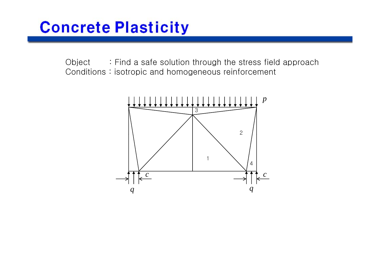Object : Find a safe solution through the stress field approach Conditions : isotropic and homogeneous reinforcement

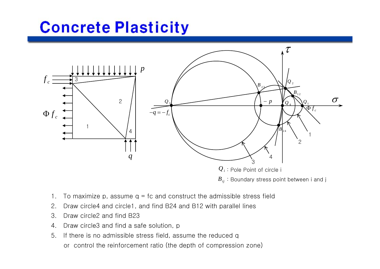

- 1.To maximize p, assume  $q = fc$  and construct the admissible stress field
- 2. Draw circle4 and circle1, and find B24 and B12 with parallel lines
- 3. Draw circle2 and find B23
- 4.Draw circle3 and find a safe solution, p
- 5. If there is no admissible stress field, assume the reduced q or control the reinforcement ratio (the depth of compression zone)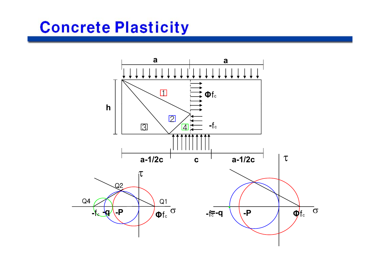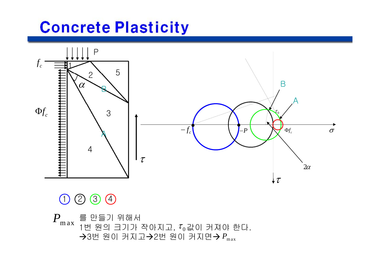

#### $(1)$ 2 3 4

를 만들기 위해서  $\hat{\phantom{x}}$  1번 원의 크기가 작아지고,  $\tau_0$ 값이 커져야 한다. *P*max**→**3번 원이 커지고→2번 원이 커지면→  $P_\text{max}$